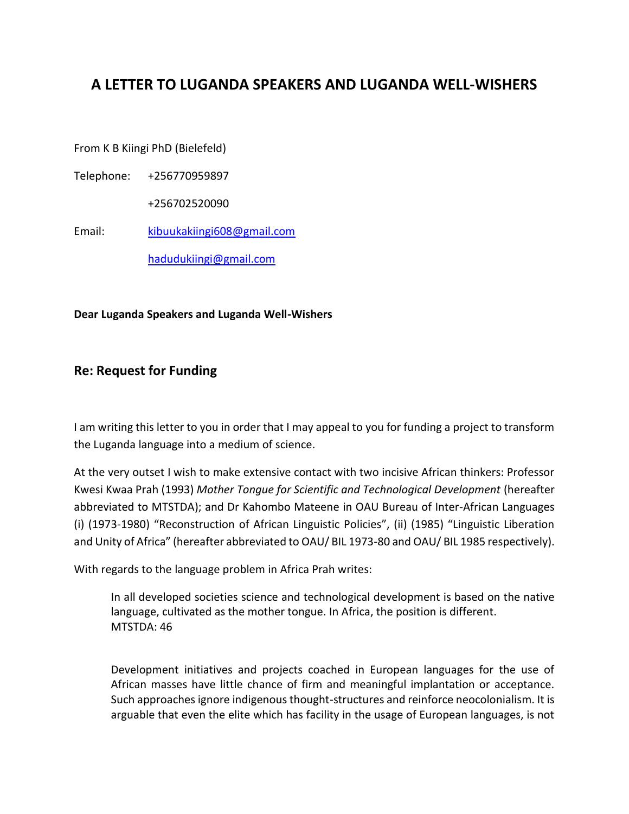## **A LETTER TO LUGANDA SPEAKERS AND LUGANDA WELL-WISHERS**

From K B Kiingi PhD (Bielefeld)

Telephone: +256770959897

+256702520090

Email: [kibuukakiingi608@gmail.com](about:blank)

[hadudukiingi@gmail.com](about:blank)

**Dear Luganda Speakers and Luganda Well-Wishers**

## **Re: Request for Funding**

I am writing this letter to you in order that I may appeal to you for funding a project to transform the Luganda language into a medium of science.

At the very outset I wish to make extensive contact with two incisive African thinkers: Professor Kwesi Kwaa Prah (1993) *Mother Tongue for Scientific and Technological Development* (hereafter abbreviated to MTSTDA); and Dr Kahombo Mateene in OAU Bureau of Inter-African Languages (i) (1973-1980) "Reconstruction of African Linguistic Policies", (ii) (1985) "Linguistic Liberation and Unity of Africa" (hereafter abbreviated to OAU/ BIL 1973-80 and OAU/ BIL 1985 respectively).

With regards to the language problem in Africa Prah writes:

In all developed societies science and technological development is based on the native language, cultivated as the mother tongue. In Africa, the position is different. MTSTDA: 46

Development initiatives and projects coached in European languages for the use of African masses have little chance of firm and meaningful implantation or acceptance. Such approaches ignore indigenous thought-structures and reinforce neocolonialism. It is arguable that even the elite which has facility in the usage of European languages, is not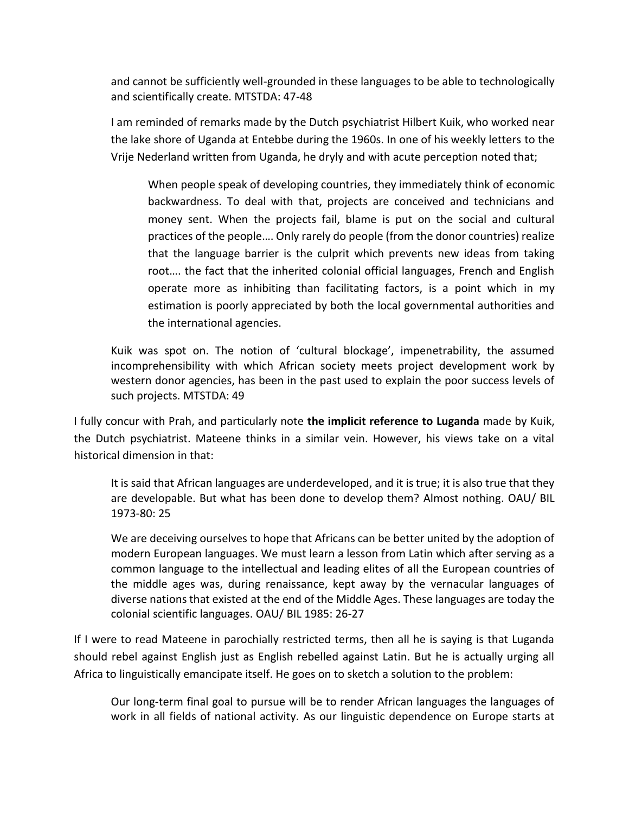and cannot be sufficiently well-grounded in these languages to be able to technologically and scientifically create. MTSTDA: 47-48

I am reminded of remarks made by the Dutch psychiatrist Hilbert Kuik, who worked near the lake shore of Uganda at Entebbe during the 1960s. In one of his weekly letters to the Vrije Nederland written from Uganda, he dryly and with acute perception noted that;

When people speak of developing countries, they immediately think of economic backwardness. To deal with that, projects are conceived and technicians and money sent. When the projects fail, blame is put on the social and cultural practices of the people…. Only rarely do people (from the donor countries) realize that the language barrier is the culprit which prevents new ideas from taking root…. the fact that the inherited colonial official languages, French and English operate more as inhibiting than facilitating factors, is a point which in my estimation is poorly appreciated by both the local governmental authorities and the international agencies.

Kuik was spot on. The notion of 'cultural blockage', impenetrability, the assumed incomprehensibility with which African society meets project development work by western donor agencies, has been in the past used to explain the poor success levels of such projects. MTSTDA: 49

I fully concur with Prah, and particularly note **the implicit reference to Luganda** made by Kuik, the Dutch psychiatrist. Mateene thinks in a similar vein. However, his views take on a vital historical dimension in that:

It is said that African languages are underdeveloped, and it is true; it is also true that they are developable. But what has been done to develop them? Almost nothing. OAU/ BIL 1973-80: 25

We are deceiving ourselves to hope that Africans can be better united by the adoption of modern European languages. We must learn a lesson from Latin which after serving as a common language to the intellectual and leading elites of all the European countries of the middle ages was, during renaissance, kept away by the vernacular languages of diverse nations that existed at the end of the Middle Ages. These languages are today the colonial scientific languages. OAU/ BIL 1985: 26-27

If I were to read Mateene in parochially restricted terms, then all he is saying is that Luganda should rebel against English just as English rebelled against Latin. But he is actually urging all Africa to linguistically emancipate itself. He goes on to sketch a solution to the problem:

Our long-term final goal to pursue will be to render African languages the languages of work in all fields of national activity. As our linguistic dependence on Europe starts at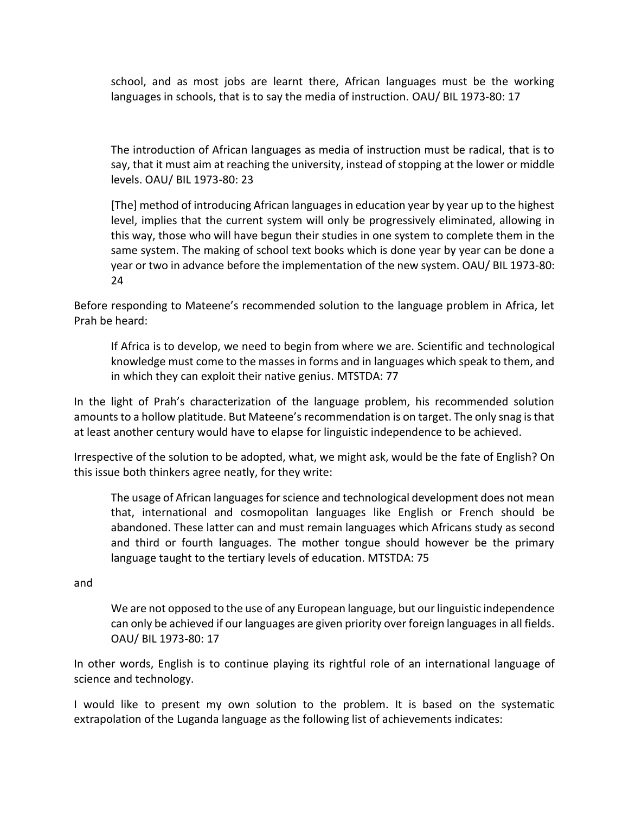school, and as most jobs are learnt there, African languages must be the working languages in schools, that is to say the media of instruction. OAU/ BIL 1973-80: 17

The introduction of African languages as media of instruction must be radical, that is to say, that it must aim at reaching the university, instead of stopping at the lower or middle levels. OAU/ BIL 1973-80: 23

[The] method of introducing African languages in education year by year up to the highest level, implies that the current system will only be progressively eliminated, allowing in this way, those who will have begun their studies in one system to complete them in the same system. The making of school text books which is done year by year can be done a year or two in advance before the implementation of the new system. OAU/ BIL 1973-80: 24

Before responding to Mateene's recommended solution to the language problem in Africa, let Prah be heard:

If Africa is to develop, we need to begin from where we are. Scientific and technological knowledge must come to the masses in forms and in languages which speak to them, and in which they can exploit their native genius. MTSTDA: 77

In the light of Prah's characterization of the language problem, his recommended solution amounts to a hollow platitude. But Mateene's recommendation is on target. The only snag is that at least another century would have to elapse for linguistic independence to be achieved.

Irrespective of the solution to be adopted, what, we might ask, would be the fate of English? On this issue both thinkers agree neatly, for they write:

The usage of African languages for science and technological development does not mean that, international and cosmopolitan languages like English or French should be abandoned. These latter can and must remain languages which Africans study as second and third or fourth languages. The mother tongue should however be the primary language taught to the tertiary levels of education. MTSTDA: 75

and

We are not opposed to the use of any European language, but our linguistic independence can only be achieved if our languages are given priority over foreign languages in all fields. OAU/ BIL 1973-80: 17

In other words, English is to continue playing its rightful role of an international language of science and technology.

I would like to present my own solution to the problem. It is based on the systematic extrapolation of the Luganda language as the following list of achievements indicates: